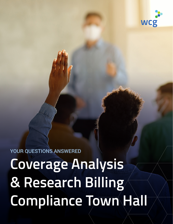

YOUR QUESTIONS ANSWERED

**Coverage Analysis & Research Billing Compliance Town Hall**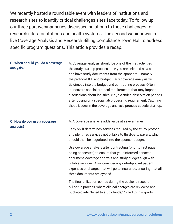We recently hosted a round table event with leaders of institutions and research sites to identify critical challenges sites face today. To follow up, our three-part webinar series discussed solutions to these challenges for research sites, institutions and health systems. The second webinar was a live Coverage Analysis and Research Billing Compliance Town Hall to address specific program questions. This article provides a recap.

### **Q: When should you do a coverage analysis?**

A: Coverage analysis should be one of the first activities in the study start-up process once you are selected as a site and have study documents from the sponsors – namely, the protocol, ICF and budget. Early coverage analysis will tie directly into the budget and contracting process. Often, it uncovers special protocol requirements that may impact discussions about logistics, e.g., extended observation periods after dosing or a special lab processing requirement. Catching those issues in the coverage analysis process speeds start-up.

#### **Q: How do you use a coverage analysis?**

A: A coverage analysis adds value at several times:

Early on, it determines services required by the study protocol and identifies services not billable to third-party payers, which should then be negotiated into the sponsor budget.

Use coverage analysis after contracting (prior to first patient being consented) to ensure that your informed consent document, coverage analysis and study budget align with billable services. Also, consider any out-of-pocket patient expenses or charges that will go to insurance, ensuring that all three documents are synced.

The final utilization comes during the backend research bill scrub process, where clinical charges are reviewed and bucketed into "billed to study funds," "billed to third-party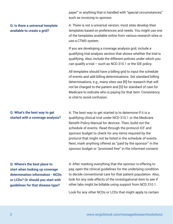payer" or anything that is handled with "special circumstances," such as invoicing to sponsor.

#### **Q: Is there a universal template available to create a grid?**

A: There is not a universal version; most sites develop their templates based on preferences and needs. You might use one of the templates available online from various research sites or use a CTMS system.

If you are developing a coverage analysis grid, include a qualifying trial analysis section that shows whether the trial is qualifying. Also, include the different policies under which you can qualify a trial – such as NCD 310.1 or the IDE policy.

All templates should have a billing grid to input the schedule of events and add billing determinations. Set standard billing determinations, e.g., many sites use [R] for research that will not be charged to the patient and [S] for standard of care for Medicare to indicate who is paying for that item. Consistency is vital to avoid confusion.

## **Q: What's the best way to get started with a coverage analysis?**

A: The best way to get started is to determine if it is a qualifying clinical trial under NCD 310.1 or the Medicare Benefit Policy Manual for devices. Then, build out the schedule of events. Read through the protocol ICF and sponsor budget to check for any items required by the protocol that might not be listed in the schedule of events. Next, mark anything offered as "paid by the sponsor" in the sponsor budget or "promised free" in the informed consent.

**Q: Where's the best place to start when looking up coverage determination information - NCDs or LCDs? Or should you start with guidelines for that disease type?**

A: After marking everything that the sponsor is offering to pay, open the clinical guidelines for the underlying condition to decide conventional care for that patient population. Also, look for any side effects of the investigational item to see if other labs might be billable using support from NCD 310.1.

Look for any other NCDs or LCDs that might apply to certain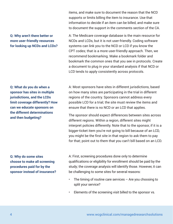items, and make sure to document the reason that the NCD supports or limits billing the item to insurance. Use that information to decide if an item can be billed, and make sure to document the support in the comments section of the CA.

A: The Medicare coverage database is the main resource for NCDs and LCDs, but it is not user-friendly. Coding software systems can link you to the NCD or LCD if you know the CPT codes; that is a more user-friendly approach. Then, we recommend bookmarking. Make a bookmark folder and bookmark the common ones that you see in protocols. Create a document to plug in your standard analysis if that NCD or LCD tends to apply consistently across protocols.

## **Q: Why aren't there better or more user-friendly resources for looking up NCDs and LCDs?**

**Q: What do you do when a sponsor has sites in multiple jurisdictions, and the LCDs limit coverage differently? How can we educate sponsors on the different determinations and then budgeting?**

A: Most sponsors have sites in different jurisdictions, based on how many sites are participating in the trial in different regions of the country. Sponsors cannot address every possible LCD for a trial; the site must review the items and ensure that there is no NCD or an LCD that applies.

The sponsor should expect differences between sites across different regions. Within a region, different sites might interpret policies differently. Note that to the sponsor, if it is a bigger-ticket item you're not going to bill because of an LCD, you might be the first site in that region to ask them to pay for that; point out to them that you can't bill based on an LCD.

**Q: Why do some sites choose to make all screening procedures paid for by the sponsor instead of insurance?** A: First, screening procedures done only to determine qualifications or eligibility for enrollment should be paid by the study; the coverage analysis will identify those. However, it can be challenging to some sites for several reasons:

- The timing of routine care services  $-$  Are you choosing to split your service?
- Elements of the screening visit billed to the sponsor vs.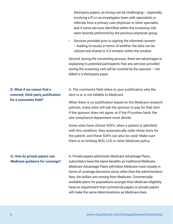third-party payers, as timing can be challenging – especially involving a PI or an investigator team with specialists or referrals from a primary care physician or other specialist, and if some services identified within the screening visit were recently performed by the previous physician group.

Services provided prior to signing the informed consent – leading to issues in terms of whether the data can be utilized and shared or if it remains within the window.

Second, during the consenting process, there are advantages in explaining to potential participants that any services provided during the screening visit will be covered by the sponsor  $-$  not billed to a third-party payer.

# **Q: What if we cannot find a concrete, third-party justification for a comments field?**

A: The comments field refers to your justification why the item is or is not billable to Medicare.

When there is no justification based on the Medicare research policies, many sites will ask the sponsor to pay for that item. If the sponsor does not agree, or if the PI pushes back, the site compliance department must decide.

Some sites have clinical SOPs; when a patient is admitted with this condition, they automatically order these tests for the patient, and those SOPs can also be used. Make sure there is no limiting NCD, LCD or other Medicare policy.

## **Q: How do private payers use Medicare guidance for coverage?**

A: Private payers administer Medicare Advantage Plans; subscribers have the same benefits as traditional Medicare. Medicare Advantage Plans will follow Medicare more closely in terms of coverage decisions since, other than the administration fees, the dollars are coming from Medicare. Commercially available plans for populations younger than Medicare eligibility have no requirement that commercial payers or private payers will make the same determinations as Medicare does.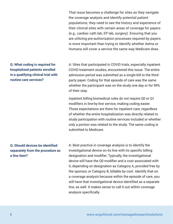That issue becomes a challenge for sites as they navigate the coverage analysis and identify potential patient populations; they need to see the history and experience of their clinical sites with certain areas of coverage for payers (e.g., cardiac cath lab, EP lab, surgery). Ensuring that you are utilizing pre-authorization processes required by payers is more important than trying to identify whether Aetna or Humana will cover a service the same way Medicare does.

A: Sites that participated in COVID trials, especially inpatient COVID treatment studies, encountered this issue. The entire admission period was submitted as a single bill to the thirdparty payer. Coding for that episode of care was the same whether the participant was on the study one day or for 99% of their stay.

Inpatient billing biomedical rules do not require Q0 or Q1 modifiers in line-by-line service, making coding easier. Those expectations are there for inpatient care, regardless of whether the entire hospitalization was directly related to study participation with routine services included or whether only a portion was related to the study. The same coding is submitted to Medicare.

A: Best practice in coverage analysis is to identify the investigational device on its line with its specific billing designation and modifier. Typically, the investigational device will have the Q0 modifier and a cost associated with it, depending on designation as Category A, provided free by the sponsor, or Category B, billable by cost. Identify that on a coverage analysis because within the episode of care, you will have that investigational device identified as a separate line, as well. It makes sense to call it out within coverage analysis specifically.

# **Q: What coding is required for hospitalized patients enrolled in a qualifying clinical trial with routine care services?**

## **Q: Should devices be identified separately from the procedure as a line item?**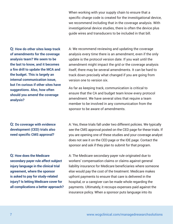When working with your supply chain to ensure that a specific charge code is created for the investigational device, we recommend including that in the coverage analysis. With investigational device studies, there is often the device plus guide wires and transducers to be included in that bill.

**Q: How do other sites keep track of amendments for the coverage analysis team? We seem to be the last to know, and it becomes a fire drill to update the MCA and the budget. This is largely an internal communication issue, but I'm curious if other sites have suggestions. Also, how often should you amend the coverage analysis?**

A: We recommend reviewing and updating the coverage analysis every time there is an amendment, even if the only update is the protocol version date. If you wait until the amendment might impact the grid or the coverage analysis itself, there may be several amendments. It can be hard to track down precisely what changed if you are going from version one to version six.

As far as keeping track, communication is critical to ensure that the CA and budget team know every protocol amendment. We have several sites that require a team member to be involved in any communication from the sponsor to be aware of amendments.

**Q: Do coverage with evidence development (CED) trials also need specific CMS approval?**

A: Yes, these trials fall under two different policies. We typically see the CMS approval posted on the CED page for these trials. If you are opening one of these studies and your coverage analyst does not see it on the CED page or the IDE page. Contact the sponsor and ask if they plan to submit for that program.

**Q: How does the Medicare secondary payer rule affect subject injury language in the clinical trial agreement, where the sponsor is asked to pay for study-related injury? Is letting Medicare cover for all complications a better approach?** A: The Medicare secondary payer rule originated due to workers' compensation claims or claims against general liability insurance for Medicare beneficiaries where someone else would pay the cost of the treatment. Medicare makes upfront payments to ensure that care is delivered in the hospital, or a caregiver can be made whole regarding the payments. Ultimately, it recoups expenses paid against the insurance policy. When a sponsor puts language into its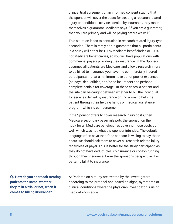clinical trial agreement or an informed consent stating that the sponsor will cover the costs for treating a research-related injury or conditional services denied by insurance, they make themselves a guarantor. Medicare says, "If you are a guarantor, then you are primary and will be paying before we will."

This situation leads to confusion in research-related injury-type scenarios. There is rarely a true guarantee that all participants in a study will either be 100% Medicare beneficiaries or 100% not Medicare beneficiaries, so you will have populations with commercial payers providing their insurance. If the Sponsor assumes all patients are Medicare, and allows research injury to be billed to insurance you have the commercially insured participants that at a minimum have out of pocket expenses (co-pays, deductibles, and/or co-insurance) and perhaps complete denials for coverage. In these cases, a patient and the site can be caught between whether to bill the individual for services denied by insurance or find a way to help the patient through their helping hands or medical assistance program, which is cumbersome.

If the Sponsor offers to cover research injury costs, then Medicare secondary payer rule puts the sponsor on the hook for all Medicare beneficiaries covering those costs as well, which was not what the sponsor intended. The default language often says that if the sponsor is willing to pay those costs, we should ask them to cover all research-related injury regardless of payer. This is better for the study participant, as they do not have deductibles, coinsurance or copays running through their insurance. From the sponsor's perspective, it is better to bill it to insurance.

**Q: How do you approach treating patients the same, whether they're in a trial or not, when it comes to billing insurance?**

A: Patients on a study are treated by the investigators according to the protocol and based on signs, symptoms or clinical conditions where the physician investigator is using medical knowledge.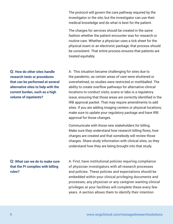The protocol will govern the care pathway required by the investigator or the site, but the investigator can use their medical knowledge and do what is best for the patient.

The charges for services should be created in the same fashion whether the patient encounter was for research or routine care. Whether a physician uses a tick sheet for the physical exam or an electronic package, that process should be consistent. That entire process ensures that patients are treated equitably.

**Q: How do other sites handle research tests or procedures that can be performed at several alternative sites to help with the current burden, such as a high volume of inpatients?**

A: This situation became challenging for sites due to the pandemic, as certain areas of care were shuttered or overwhelmed, so studies were restricted or mothballed. The ability to create overflow pathways for alternative clinical locations to conduct visits, scans or labs is a regulatory issue, ensuring that those areas are correctly identified in the IRB approval packet. That may require amendments to add sites. If you are adding imaging centers or physical locations, make sure to update your regulatory package and have IRB approval for those changes.

Communicate with those new stakeholders for billing. Make sure they understand how research billing flows, how charges are created and that somebody will review those charges. Share study information with clinical sites, so they understand how they are being brought into that study.

## **Q: What can we do to make sure that the PI complies with billing rules?**

A: First, have institutional policies requiring compliance of physician investigators with all research processes and policies. These policies and expectations should be embedded within your clinical privileging documents and processes; any physician or any caregiver wanting clinical privileges at your facilities will complete these every few years. A section allows them to identify their intention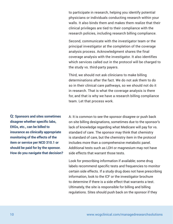to participate in research, helping you identify potential physicians or individuals conducting research within your walls. It also binds them and makes them realize that their clinical privileges are tied to their compliance with the research policies, including research billing compliance.

Second, communicate with the investigator team or the principal investigator at the completion of the coverage analysis process. Acknowledgment shares the final coverage analysis with the investigator. It also identifies which services called out in the protocol will be charged to the study vs. third-party payers.

Third, we should not ask clinicians to make billing determinations after the fact. We do not ask them to do so in their clinical care pathways, so we should not do it in research. That is what the coverage analysis is there for, and that is why we have a research billing compliance team. Let that process work.

**Q: Sponsors and sites sometimes disagree whether specific labs, EKGs, etc., can be billed to insurance as clinically appropriate monitoring of the effects of the item or service per NCD 310.1 or should be paid for by the sponsor. How do you navigate that decision?** A: It is common to see the sponsor disagree or push back on site billing designations, sometimes due to the sponsor's lack of knowledge regarding what Medicare will pay for vs. standard of care. The sponsor may think that chemistry is standard of care, but the chemistry item in the protocol includes more than a comprehensive metabolic panel. Additional tests such as LDH or magnesium may not have side effects that warrant those tests.

Look for prescribing information if available; some drug labels recommend specific tests and frequencies to monitor certain side effects. If a study drug does not have prescribing information, look to the ICF or the investigator brochure to determine if there is a side effect that warrants a test. Ultimately, the site is responsible for billing and billing regulations. Sites should push back on the sponsor if they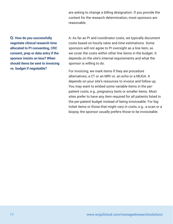are asking to change a billing designation. If you provide the context for the research determination, most sponsors are reasonable.

**Q: How do you successfully negotiate clinical research time allocated to PI consenting, CRC consent, prep or data entry if the sponsor insists on less? When should items be sent to invoicing vs. budget if negotiable?**

A: As far as PI and coordinator costs, we typically document costs based on hourly rates and time estimations. Some sponsors will not agree to PI oversight as a line item, so we cover the costs within other line items in the budget. It depends on the site's internal requirements and what the sponsor is willing to do.

For invoicing, we mark items if they are procedure alternatives; a CT or an MRI vs. an echo or a MUGA. It depends on your site's resources to invoice and follow up. You may want to embed some variable items in the perpatient costs, e.g., pregnancy tests or smaller items. Most sites prefer to have any item required for all patients listed in the per-patient budget instead of being invoiceable. For bigticket items or those that might vary in costs, e.g., a scan or a biopsy, the sponsor usually prefers those to be invoiceable.